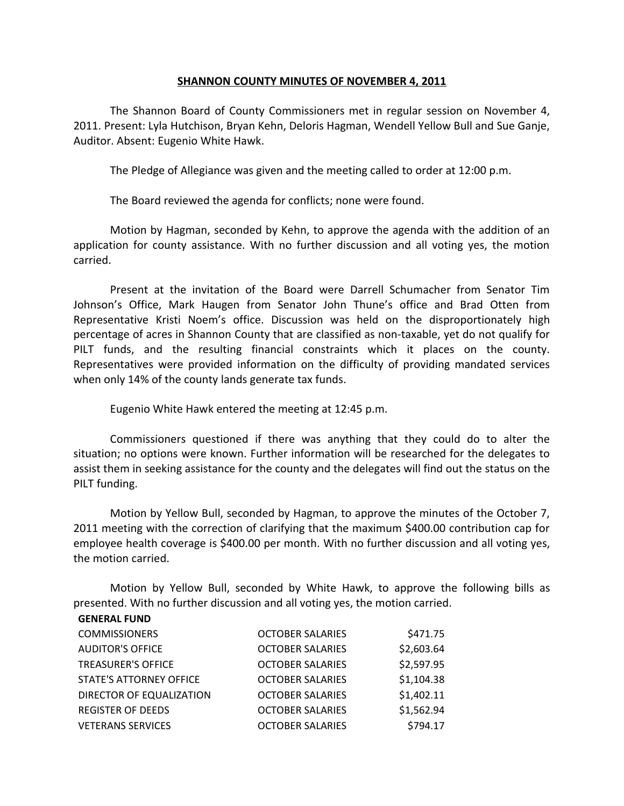## **SHANNON COUNTY MINUTES OF NOVEMBER 4, 2011**

The Shannon Board of County Commissioners met in regular session on November 4, 2011. Present: Lyla Hutchison, Bryan Kehn, Deloris Hagman, Wendell Yellow Bull and Sue Ganje, Auditor. Absent: Eugenio White Hawk.

The Pledge of Allegiance was given and the meeting called to order at 12:00 p.m.

The Board reviewed the agenda for conflicts; none were found.

Motion by Hagman, seconded by Kehn, to approve the agenda with the addition of an application for county assistance. With no further discussion and all voting yes, the motion carried.

Present at the invitation of the Board were Darrell Schumacher from Senator Tim Johnson's Office, Mark Haugen from Senator John Thune's office and Brad Otten from Representative Kristi Noem's office. Discussion was held on the disproportionately high percentage of acres in Shannon County that are classified as non-taxable, yet do not qualify for PILT funds, and the resulting financial constraints which it places on the county. Representatives were provided information on the difficulty of providing mandated services when only 14% of the county lands generate tax funds.

Eugenio White Hawk entered the meeting at 12:45 p.m.

Commissioners questioned if there was anything that they could do to alter the situation; no options were known. Further information will be researched for the delegates to assist them in seeking assistance for the county and the delegates will find out the status on the PILT funding.

Motion by Yellow Bull, seconded by Hagman, to approve the minutes of the October 7, 2011 meeting with the correction of clarifying that the maximum \$400.00 contribution cap for employee health coverage is \$400.00 per month. With no further discussion and all voting yes, the motion carried.

Motion by Yellow Bull, seconded by White Hawk, to approve the following bills as presented. With no further discussion and all voting yes, the motion carried.

| <b>GENERAL FUND</b>            |                         |            |
|--------------------------------|-------------------------|------------|
| <b>COMMISSIONERS</b>           | <b>OCTOBER SALARIES</b> | \$471.75   |
| <b>AUDITOR'S OFFICE</b>        | <b>OCTOBER SALARIES</b> | \$2,603.64 |
| <b>TREASURER'S OFFICE</b>      | <b>OCTOBER SALARIES</b> | \$2,597.95 |
| <b>STATE'S ATTORNEY OFFICE</b> | <b>OCTOBER SALARIES</b> | \$1,104.38 |
| DIRECTOR OF EQUALIZATION       | <b>OCTOBER SALARIES</b> | \$1,402.11 |
| <b>REGISTER OF DEEDS</b>       | <b>OCTOBER SALARIES</b> | \$1,562.94 |
| <b>VETERANS SERVICES</b>       | <b>OCTOBER SALARIES</b> | \$794.17   |
|                                |                         |            |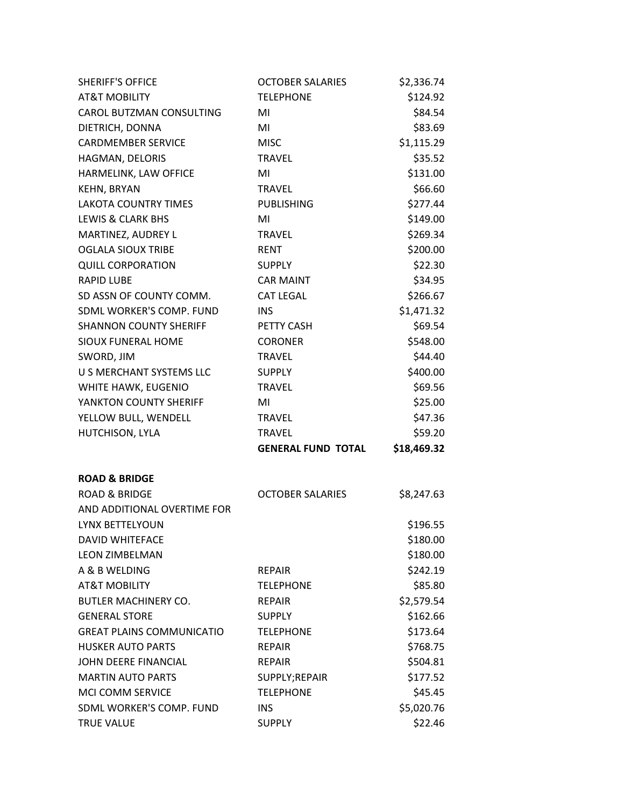| <b>SHERIFF'S OFFICE</b>          | <b>OCTOBER SALARIES</b>   | \$2,336.74  |
|----------------------------------|---------------------------|-------------|
| <b>AT&amp;T MOBILITY</b>         | <b>TELEPHONE</b>          | \$124.92    |
| CAROL BUTZMAN CONSULTING         | MI                        | \$84.54     |
| DIETRICH, DONNA                  | MI                        | \$83.69     |
| <b>CARDMEMBER SERVICE</b>        | <b>MISC</b>               | \$1,115.29  |
| HAGMAN, DELORIS                  | <b>TRAVEL</b>             | \$35.52     |
| HARMELINK, LAW OFFICE            | MI                        | \$131.00    |
| KEHN, BRYAN                      | <b>TRAVEL</b>             | \$66.60     |
| <b>LAKOTA COUNTRY TIMES</b>      | <b>PUBLISHING</b>         | \$277.44    |
| <b>LEWIS &amp; CLARK BHS</b>     | MI                        | \$149.00    |
| MARTINEZ, AUDREY L               | <b>TRAVEL</b>             | \$269.34    |
| <b>OGLALA SIOUX TRIBE</b>        | <b>RENT</b>               | \$200.00    |
| <b>QUILL CORPORATION</b>         | <b>SUPPLY</b>             | \$22.30     |
| <b>RAPID LUBE</b>                | <b>CAR MAINT</b>          | \$34.95     |
| SD ASSN OF COUNTY COMM.          | <b>CAT LEGAL</b>          | \$266.67    |
| SDML WORKER'S COMP. FUND         | <b>INS</b>                | \$1,471.32  |
| <b>SHANNON COUNTY SHERIFF</b>    | PETTY CASH                | \$69.54     |
| <b>SIOUX FUNERAL HOME</b>        | <b>CORONER</b>            | \$548.00    |
| SWORD, JIM                       | <b>TRAVEL</b>             | \$44.40     |
| U S MERCHANT SYSTEMS LLC         | <b>SUPPLY</b>             | \$400.00    |
| WHITE HAWK, EUGENIO              | <b>TRAVEL</b>             | \$69.56     |
| YANKTON COUNTY SHERIFF           | MI                        | \$25.00     |
| YELLOW BULL, WENDELL             | <b>TRAVEL</b>             | \$47.36     |
| HUTCHISON, LYLA                  | <b>TRAVEL</b>             | \$59.20     |
|                                  | <b>GENERAL FUND TOTAL</b> | \$18,469.32 |
| <b>ROAD &amp; BRIDGE</b>         |                           |             |
| <b>ROAD &amp; BRIDGE</b>         | <b>OCTOBER SALARIES</b>   | \$8,247.63  |
| AND ADDITIONAL OVERTIME FOR      |                           |             |
| LYNX BETTELYOUN                  |                           | \$196.55    |
| <b>DAVID WHITEFACE</b>           |                           | \$180.00    |
| <b>LEON ZIMBELMAN</b>            |                           | \$180.00    |
| A & B WELDING                    | <b>REPAIR</b>             | \$242.19    |
| <b>AT&amp;T MOBILITY</b>         | <b>TELEPHONE</b>          | \$85.80     |
| <b>BUTLER MACHINERY CO.</b>      | <b>REPAIR</b>             | \$2,579.54  |
| <b>GENERAL STORE</b>             | <b>SUPPLY</b>             | \$162.66    |
| <b>GREAT PLAINS COMMUNICATIO</b> | <b>TELEPHONE</b>          | \$173.64    |
| <b>HUSKER AUTO PARTS</b>         | <b>REPAIR</b>             | \$768.75    |
| <b>JOHN DEERE FINANCIAL</b>      | <b>REPAIR</b>             | \$504.81    |
| <b>MARTIN AUTO PARTS</b>         | SUPPLY;REPAIR             | \$177.52    |
| <b>MCI COMM SERVICE</b>          | <b>TELEPHONE</b>          | \$45.45     |
| SDML WORKER'S COMP. FUND         | <b>INS</b>                | \$5,020.76  |
| <b>TRUE VALUE</b>                | <b>SUPPLY</b>             | \$22.46     |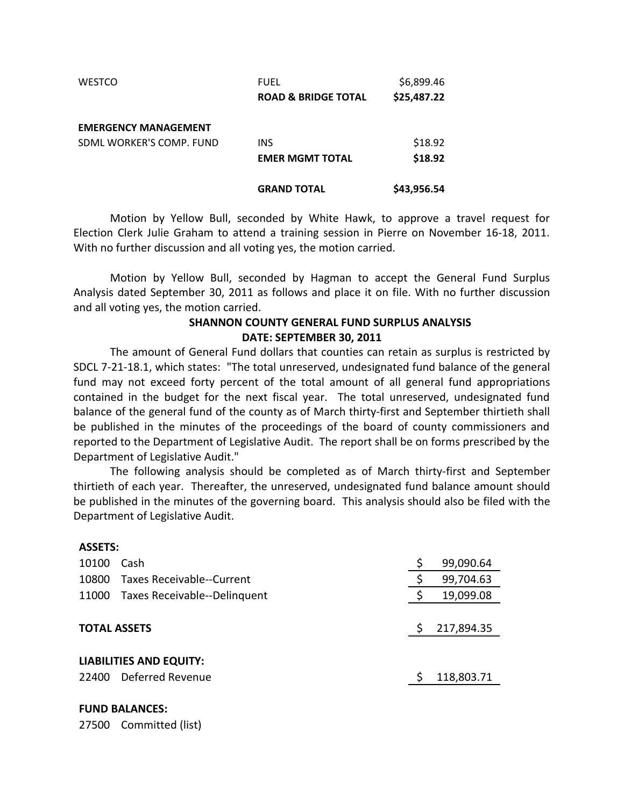| <b>WESTCO</b>               | FUEL                           | \$6,899.46  |
|-----------------------------|--------------------------------|-------------|
|                             | <b>ROAD &amp; BRIDGE TOTAL</b> | \$25,487.22 |
| <b>EMERGENCY MANAGEMENT</b> |                                |             |
| SDML WORKER'S COMP. FUND    | <b>INS</b>                     | \$18.92     |
|                             | <b>EMER MGMT TOTAL</b>         | \$18.92     |
|                             | <b>GRAND TOTAL</b>             | \$43,956.54 |

Motion by Yellow Bull, seconded by White Hawk, to approve a travel request for Election Clerk Julie Graham to attend a training session in Pierre on November 16-18, 2011. With no further discussion and all voting yes, the motion carried.

Motion by Yellow Bull, seconded by Hagman to accept the General Fund Surplus Analysis dated September 30, 2011 as follows and place it on file. With no further discussion and all voting yes, the motion carried.

## **SHANNON COUNTY GENERAL FUND SURPLUS ANALYSIS DATE: SEPTEMBER 30, 2011**

The amount of General Fund dollars that counties can retain as surplus is restricted by SDCL 7-21-18.1, which states: "The total unreserved, undesignated fund balance of the general fund may not exceed forty percent of the total amount of all general fund appropriations contained in the budget for the next fiscal year. The total unreserved, undesignated fund balance of the general fund of the county as of March thirty-first and September thirtieth shall be published in the minutes of the proceedings of the board of county commissioners and reported to the Department of Legislative Audit. The report shall be on forms prescribed by the Department of Legislative Audit."

The following analysis should be completed as of March thirty-first and September thirtieth of each year. Thereafter, the unreserved, undesignated fund balance amount should be published in the minutes of the governing board. This analysis should also be filed with the Department of Legislative Audit.

| ASSE 15:                       |                                    |    |            |  |
|--------------------------------|------------------------------------|----|------------|--|
| 10100                          | Cash                               | \$ | 99,090.64  |  |
| 10800                          | Taxes Receivable--Current          | \$ | 99,704.63  |  |
|                                | 11000 Taxes Receivable--Delinquent | \$ | 19,099.08  |  |
|                                |                                    |    |            |  |
| <b>TOTAL ASSETS</b>            |                                    |    | 217,894.35 |  |
|                                |                                    |    |            |  |
| <b>LIABILITIES AND EQUITY:</b> |                                    |    |            |  |
| 22400                          | Deferred Revenue                   |    | 118,803.71 |  |
|                                |                                    |    |            |  |

## **FUND BALANCES:**

**ASSETS:**

27500 Committed (list)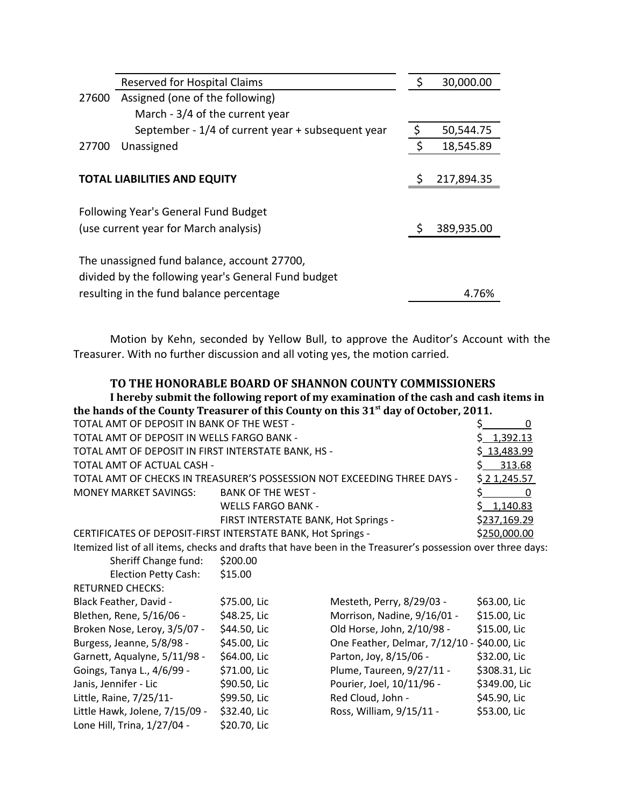|       | Reserved for Hospital Claims                                                                       | \$<br>30,000.00 |
|-------|----------------------------------------------------------------------------------------------------|-----------------|
| 27600 | Assigned (one of the following)                                                                    |                 |
|       | March - 3/4 of the current year                                                                    |                 |
|       | September - 1/4 of current year + subsequent year                                                  | \$<br>50,544.75 |
| 27700 | Unassigned                                                                                         | \$<br>18,545.89 |
|       |                                                                                                    |                 |
|       | <b>TOTAL LIABILITIES AND EQUITY</b>                                                                | 217,894.35      |
|       | Following Year's General Fund Budget                                                               |                 |
|       | (use current year for March analysis)                                                              | 389,935.00      |
|       | The unassigned fund balance, account 27700,<br>divided by the following year's General Fund budget |                 |
|       | resulting in the fund balance percentage                                                           | 4.76%           |

Motion by Kehn, seconded by Yellow Bull, to approve the Auditor's Account with the Treasurer. With no further discussion and all voting yes, the motion carried.

**TO THE HONORABLE BOARD OF SHANNON COUNTY COMMISSIONERS**

**I hereby submit the following report of my examination of the cash and cash items in the hands of the County Treasurer of this County on this 31st day of October, 2011.**

| TOTAL AMT OF DEPOSIT IN BANK OF THE WEST -                               |              |
|--------------------------------------------------------------------------|--------------|
| TOTAL AMT OF DEPOSIT IN WELLS FARGO BANK -                               | \$1,392.13   |
| TOTAL AMT OF DEPOSIT IN FIRST INTERSTATE BANK, HS -                      | \$13,483.99  |
|                                                                          | \$313.68     |
| TOTAL AMT OF CHECKS IN TREASURER'S POSSESSION NOT EXCEEDING THREE DAYS - | \$21,245.57  |
| <b>BANK OF THE WEST -</b>                                                |              |
| <b>WELLS FARGO BANK -</b>                                                | \$1,140.83   |
| FIRST INTERSTATE BANK, Hot Springs -                                     | \$237,169.29 |
| CERTIFICATES OF DEPOSIT-FIRST INTERSTATE BANK, Hot Springs -             | \$250,000.00 |
|                                                                          |              |

Itemized list of all items, checks and drafts that have been in the Treasurer's possession over three days:

| Sheriff Change fund:           | \$200.00     |                                             |               |
|--------------------------------|--------------|---------------------------------------------|---------------|
| <b>Election Petty Cash:</b>    | \$15.00      |                                             |               |
| <b>RETURNED CHECKS:</b>        |              |                                             |               |
| Black Feather, David -         | \$75.00, Lic | Mesteth, Perry, 8/29/03 -                   | \$63.00, Lic  |
| Blethen, Rene, 5/16/06 -       | \$48.25, Lic | Morrison, Nadine, 9/16/01 -                 | \$15.00, Lic  |
| Broken Nose, Leroy, 3/5/07 -   | \$44.50, Lic | Old Horse, John, 2/10/98 -                  | \$15.00, Lic  |
| Burgess, Jeanne, 5/8/98 -      | \$45.00, Lic | One Feather, Delmar, 7/12/10 - \$40.00, Lic |               |
| Garnett, Aqualyne, 5/11/98 -   | \$64.00, Lic | Parton, Joy, 8/15/06 -                      | \$32.00, Lic  |
| Goings, Tanya L., 4/6/99 -     | \$71.00, Lic | Plume, Taureen, 9/27/11 -                   | \$308.31, Lic |
| Janis, Jennifer - Lic          | \$90.50, Lic | Pourier, Joel, 10/11/96 -                   | \$349.00, Lic |
| Little, Raine, 7/25/11-        | \$99.50, Lic | Red Cloud, John -                           | \$45.90, Lic  |
| Little Hawk, Jolene, 7/15/09 - | \$32.40, Lic | Ross, William, 9/15/11 -                    | \$53.00, Lic  |
| Lone Hill, Trina, 1/27/04 -    | \$20.70, Lic |                                             |               |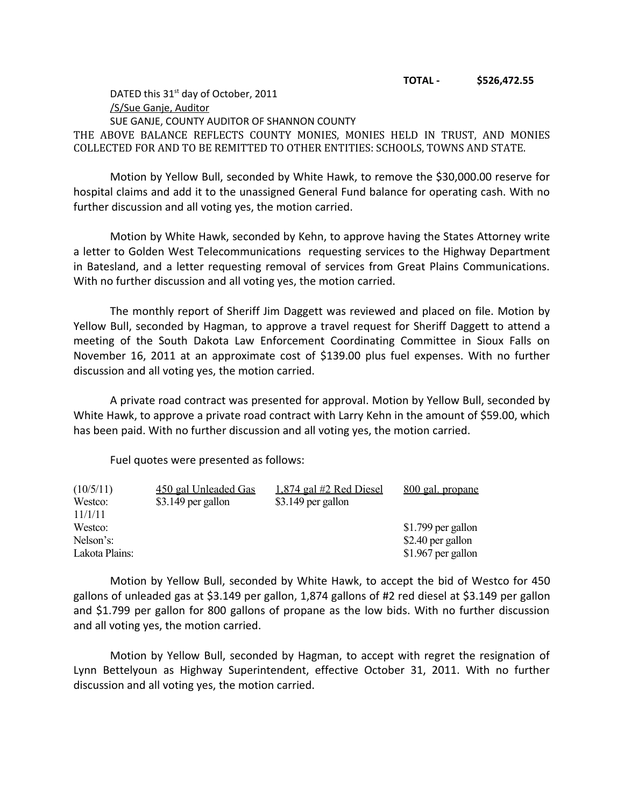DATED this  $31<sup>st</sup>$  day of October, 2011 /S/Sue Ganje, Auditor SUE GANJE, COUNTY AUDITOR OF SHANNON COUNTY THE ABOVE BALANCE REFLECTS COUNTY MONIES, MONIES HELD IN TRUST, AND MONIES COLLECTED FOR AND TO BE REMITTED TO OTHER ENTITIES: SCHOOLS, TOWNS AND STATE.

Motion by Yellow Bull, seconded by White Hawk, to remove the \$30,000.00 reserve for hospital claims and add it to the unassigned General Fund balance for operating cash. With no further discussion and all voting yes, the motion carried.

Motion by White Hawk, seconded by Kehn, to approve having the States Attorney write a letter to Golden West Telecommunications requesting services to the Highway Department in Batesland, and a letter requesting removal of services from Great Plains Communications. With no further discussion and all voting yes, the motion carried.

The monthly report of Sheriff Jim Daggett was reviewed and placed on file. Motion by Yellow Bull, seconded by Hagman, to approve a travel request for Sheriff Daggett to attend a meeting of the South Dakota Law Enforcement Coordinating Committee in Sioux Falls on November 16, 2011 at an approximate cost of \$139.00 plus fuel expenses. With no further discussion and all voting yes, the motion carried.

A private road contract was presented for approval. Motion by Yellow Bull, seconded by White Hawk, to approve a private road contract with Larry Kehn in the amount of \$59.00, which has been paid. With no further discussion and all voting yes, the motion carried.

Fuel quotes were presented as follows:

| (10/5/11)      | 450 gal Unleaded Gas | $1,874$ gal #2 Red Diesel | 800 gal. propane   |
|----------------|----------------------|---------------------------|--------------------|
| Westco:        | \$3.149 per gallon   | $$3.149$ per gallon       |                    |
| 11/1/11        |                      |                           |                    |
| Westco:        |                      |                           | \$1.799 per gallon |
| Nelson's:      |                      |                           | \$2.40 per gallon  |
| Lakota Plains: |                      |                           | \$1.967 per gallon |

Motion by Yellow Bull, seconded by White Hawk, to accept the bid of Westco for 450 gallons of unleaded gas at \$3.149 per gallon, 1,874 gallons of #2 red diesel at \$3.149 per gallon and \$1.799 per gallon for 800 gallons of propane as the low bids. With no further discussion and all voting yes, the motion carried.

Motion by Yellow Bull, seconded by Hagman, to accept with regret the resignation of Lynn Bettelyoun as Highway Superintendent, effective October 31, 2011. With no further discussion and all voting yes, the motion carried.